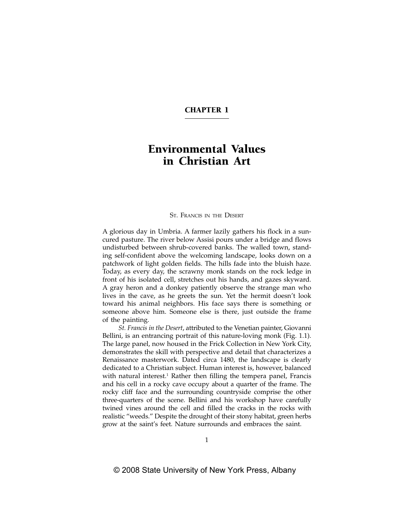# CHAPTER 1

# Environmental Values in Christian Art

#### ST. FRANCIS IN THE DESERT

A glorious day in Umbria. A farmer lazily gathers his flock in a suncured pasture. The river below Assisi pours under a bridge and flows undisturbed between shrub-covered banks. The walled town, standing self-confident above the welcoming landscape, looks down on a patchwork of light golden fields. The hills fade into the bluish haze. Today, as every day, the scrawny monk stands on the rock ledge in front of his isolated cell, stretches out his hands, and gazes skyward. A gray heron and a donkey patiently observe the strange man who lives in the cave, as he greets the sun. Yet the hermit doesn't look toward his animal neighbors. His face says there is something or someone above him. Someone else is there, just outside the frame of the painting.

*St. Francis in the Desert*, attributed to the Venetian painter, Giovanni Bellini, is an entrancing portrait of this nature-loving monk (Fig. 1.1). The large panel, now housed in the Frick Collection in New York City, demonstrates the skill with perspective and detail that characterizes a Renaissance masterwork. Dated circa 1480, the landscape is clearly dedicated to a Christian subject. Human interest is, however, balanced with natural interest.<sup>1</sup> Rather then filling the tempera panel, Francis and his cell in a rocky cave occupy about a quarter of the frame. The rocky cliff face and the surrounding countryside comprise the other three-quarters of the scene. Bellini and his workshop have carefully twined vines around the cell and filled the cracks in the rocks with realistic "weeds." Despite the drought of their stony habitat, green herbs grow at the saint's feet. Nature surrounds and embraces the saint.

1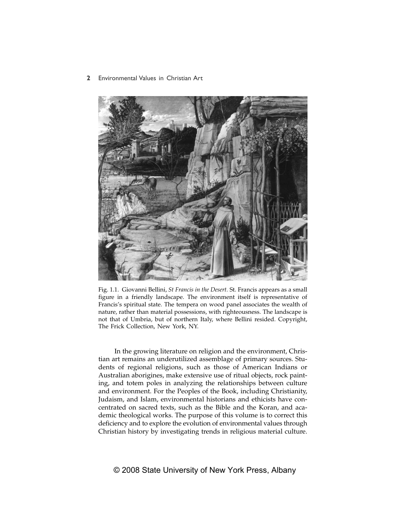## **2** Environmental Values in Christian Art



Fig. 1.1. Giovanni Bellini, *St Francis in the Desert.* St. Francis appears as a small figure in a friendly landscape. The environment itself is representative of Francis's spiritual state. The tempera on wood panel associates the wealth of nature, rather than material possessions, with righteousness. The landscape is not that of Umbria, but of northern Italy, where Bellini resided. Copyright, The Frick Collection, New York, NY.

In the growing literature on religion and the environment, Christian art remains an underutilized assemblage of primary sources. Students of regional religions, such as those of American Indians or Australian aborigines, make extensive use of ritual objects, rock painting, and totem poles in analyzing the relationships between culture and environment. For the Peoples of the Book, including Christianity, Judaism, and Islam, environmental historians and ethicists have concentrated on sacred texts, such as the Bible and the Koran, and academic theological works. The purpose of this volume is to correct this deficiency and to explore the evolution of environmental values through Christian history by investigating trends in religious material culture.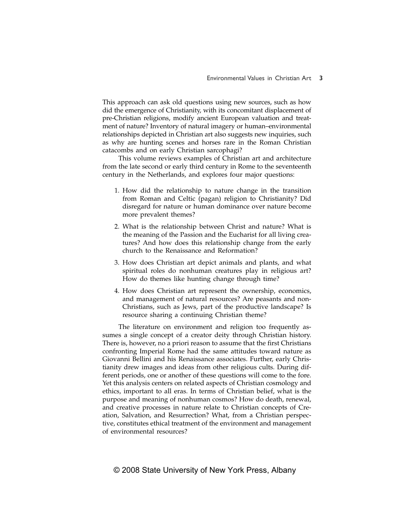This approach can ask old questions using new sources, such as how did the emergence of Christianity, with its concomitant displacement of pre-Christian religions, modify ancient European valuation and treatment of nature? Inventory of natural imagery or human–environmental relationships depicted in Christian art also suggests new inquiries, such as why are hunting scenes and horses rare in the Roman Christian catacombs and on early Christian sarcophagi?

This volume reviews examples of Christian art and architecture from the late second or early third century in Rome to the seventeenth century in the Netherlands, and explores four major questions:

- 1. How did the relationship to nature change in the transition from Roman and Celtic (pagan) religion to Christianity? Did disregard for nature or human dominance over nature become more prevalent themes?
- 2. What is the relationship between Christ and nature? What is the meaning of the Passion and the Eucharist for all living creatures? And how does this relationship change from the early church to the Renaissance and Reformation?
- 3. How does Christian art depict animals and plants, and what spiritual roles do nonhuman creatures play in religious art? How do themes like hunting change through time?
- 4. How does Christian art represent the ownership, economics, and management of natural resources? Are peasants and non-Christians, such as Jews, part of the productive landscape? Is resource sharing a continuing Christian theme?

The literature on environment and religion too frequently assumes a single concept of a creator deity through Christian history. There is, however, no a priori reason to assume that the first Christians confronting Imperial Rome had the same attitudes toward nature as Giovanni Bellini and his Renaissance associates. Further, early Christianity drew images and ideas from other religious cults. During different periods, one or another of these questions will come to the fore. Yet this analysis centers on related aspects of Christian cosmology and ethics, important to all eras. In terms of Christian belief, what is the purpose and meaning of nonhuman cosmos? How do death, renewal, and creative processes in nature relate to Christian concepts of Creation, Salvation, and Resurrection? What, from a Christian perspective, constitutes ethical treatment of the environment and management of environmental resources?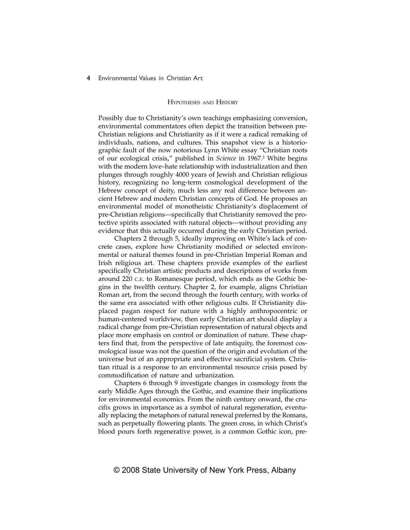#### **4** Environmental Values in Christian Art

#### HYPOTHESES AND HISTORY

Possibly due to Christianity's own teachings emphasizing conversion, environmental commentators often depict the transition between pre-Christian religions and Christianity as if it were a radical remaking of individuals, nations, and cultures. This snapshot view is a historiographic fault of the now notorious Lynn White essay "Christian roots of our ecological crisis," published in *Science* in 1967.<sup>2</sup> White begins with the modern love–hate relationship with industrialization and then plunges through roughly 4000 years of Jewish and Christian religious history, recognizing no long-term cosmological development of the Hebrew concept of deity, much less any real difference between ancient Hebrew and modern Christian concepts of God. He proposes an environmental model of monotheistic Christianity's displacement of pre-Christian religions—specifically that Christianity removed the protective spirits associated with natural objects—without providing any evidence that this actually occurred during the early Christian period.

Chapters 2 through 5, ideally improving on White's lack of concrete cases, explore how Christianity modified or selected environmental or natural themes found in pre-Christian Imperial Roman and Irish religious art. These chapters provide examples of the earliest specifically Christian artistic products and descriptions of works from around 220 C.E. to Romanesque period, which ends as the Gothic begins in the twelfth century. Chapter 2, for example, aligns Christian Roman art, from the second through the fourth century, with works of the same era associated with other religious cults. If Christianity displaced pagan respect for nature with a highly anthropocentric or human-centered worldview, then early Christian art should display a radical change from pre-Christian representation of natural objects and place more emphasis on control or domination of nature. These chapters find that, from the perspective of late antiquity, the foremost cosmological issue was not the question of the origin and evolution of the universe but of an appropriate and effective sacrificial system. Christian ritual is a response to an environmental resource crisis posed by commodification of nature and urbanization.

Chapters 6 through 9 investigate changes in cosmology from the early Middle Ages through the Gothic, and examine their implications for environmental economics. From the ninth century onward, the crucifix grows in importance as a symbol of natural regeneration, eventually replacing the metaphors of natural renewal preferred by the Romans, such as perpetually flowering plants. The green cross, in which Christ's blood pours forth regenerative power, is a common Gothic icon, pre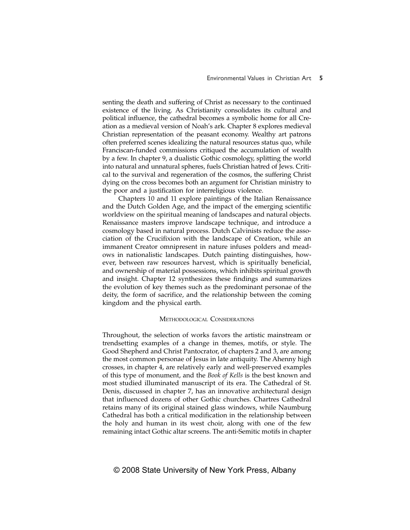senting the death and suffering of Christ as necessary to the continued existence of the living. As Christianity consolidates its cultural and political influence, the cathedral becomes a symbolic home for all Creation as a medieval version of Noah's ark. Chapter 8 explores medieval Christian representation of the peasant economy. Wealthy art patrons often preferred scenes idealizing the natural resources status quo, while Franciscan-funded commissions critiqued the accumulation of wealth by a few. In chapter 9, a dualistic Gothic cosmology, splitting the world into natural and unnatural spheres, fuels Christian hatred of Jews. Critical to the survival and regeneration of the cosmos, the suffering Christ dying on the cross becomes both an argument for Christian ministry to the poor and a justification for interreligious violence.

Chapters 10 and 11 explore paintings of the Italian Renaissance and the Dutch Golden Age, and the impact of the emerging scientific worldview on the spiritual meaning of landscapes and natural objects. Renaissance masters improve landscape technique, and introduce a cosmology based in natural process. Dutch Calvinists reduce the association of the Crucifixion with the landscape of Creation, while an immanent Creator omnipresent in nature infuses polders and meadows in nationalistic landscapes. Dutch painting distinguishes, however, between raw resources harvest, which is spiritually beneficial, and ownership of material possessions, which inhibits spiritual growth and insight. Chapter 12 synthesizes these findings and summarizes the evolution of key themes such as the predominant personae of the deity, the form of sacrifice, and the relationship between the coming kingdom and the physical earth.

#### METHODOLOGICAL CONSIDERATIONS

Throughout, the selection of works favors the artistic mainstream or trendsetting examples of a change in themes, motifs, or style. The Good Shepherd and Christ Pantocrator, of chapters 2 and 3, are among the most common personae of Jesus in late antiquity. The Ahenny high crosses, in chapter 4, are relatively early and well-preserved examples of this type of monument, and the *Book of Kells* is the best known and most studied illuminated manuscript of its era. The Cathedral of St. Denis, discussed in chapter 7, has an innovative architectural design that influenced dozens of other Gothic churches. Chartres Cathedral retains many of its original stained glass windows, while Naumburg Cathedral has both a critical modification in the relationship between the holy and human in its west choir, along with one of the few remaining intact Gothic altar screens. The anti-Semitic motifs in chapter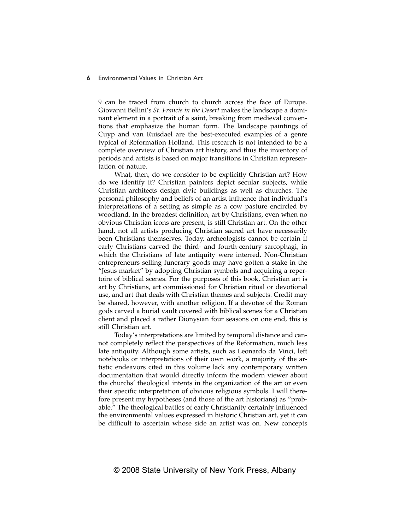9 can be traced from church to church across the face of Europe. Giovanni Bellini's *St. Francis in the Desert* makes the landscape a dominant element in a portrait of a saint, breaking from medieval conventions that emphasize the human form. The landscape paintings of Cuyp and van Ruisdael are the best-executed examples of a genre typical of Reformation Holland. This research is not intended to be a complete overview of Christian art history, and thus the inventory of periods and artists is based on major transitions in Christian representation of nature.

What, then, do we consider to be explicitly Christian art? How do we identify it? Christian painters depict secular subjects, while Christian architects design civic buildings as well as churches. The personal philosophy and beliefs of an artist influence that individual's interpretations of a setting as simple as a cow pasture encircled by woodland. In the broadest definition, art by Christians, even when no obvious Christian icons are present, is still Christian art. On the other hand, not all artists producing Christian sacred art have necessarily been Christians themselves. Today, archeologists cannot be certain if early Christians carved the third- and fourth-century sarcophagi, in which the Christians of late antiquity were interred. Non-Christian entrepreneurs selling funerary goods may have gotten a stake in the "Jesus market" by adopting Christian symbols and acquiring a repertoire of biblical scenes. For the purposes of this book, Christian art is art by Christians, art commissioned for Christian ritual or devotional use, and art that deals with Christian themes and subjects. Credit may be shared, however, with another religion. If a devotee of the Roman gods carved a burial vault covered with biblical scenes for a Christian client and placed a rather Dionysian four seasons on one end, this is still Christian art.

Today's interpretations are limited by temporal distance and cannot completely reflect the perspectives of the Reformation, much less late antiquity. Although some artists, such as Leonardo da Vinci, left notebooks or interpretations of their own work, a majority of the artistic endeavors cited in this volume lack any contemporary written documentation that would directly inform the modern viewer about the churchs' theological intents in the organization of the art or even their specific interpretation of obvious religious symbols. I will therefore present my hypotheses (and those of the art historians) as "probable." The theological battles of early Christianity certainly influenced the environmental values expressed in historic Christian art, yet it can be difficult to ascertain whose side an artist was on. New concepts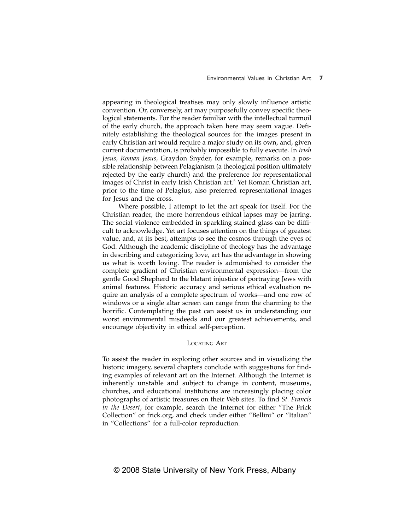appearing in theological treatises may only slowly influence artistic convention. Or, conversely, art may purposefully convey specific theological statements. For the reader familiar with the intellectual turmoil of the early church, the approach taken here may seem vague. Definitely establishing the theological sources for the images present in early Christian art would require a major study on its own, and, given current documentation, is probably impossible to fully execute. In *Irish Jesus, Roman Jesus,* Graydon Snyder, for example, remarks on a possible relationship between Pelagianism (a theological position ultimately rejected by the early church) and the preference for representational images of Christ in early Irish Christian art.3 Yet Roman Christian art, prior to the time of Pelagius, also preferred representational images for Jesus and the cross.

Where possible, I attempt to let the art speak for itself. For the Christian reader, the more horrendous ethical lapses may be jarring. The social violence embedded in sparkling stained glass can be difficult to acknowledge. Yet art focuses attention on the things of greatest value, and, at its best, attempts to see the cosmos through the eyes of God. Although the academic discipline of theology has the advantage in describing and categorizing love, art has the advantage in showing us what is worth loving. The reader is admonished to consider the complete gradient of Christian environmental expression—from the gentle Good Shepherd to the blatant injustice of portraying Jews with animal features. Historic accuracy and serious ethical evaluation require an analysis of a complete spectrum of works—and one row of windows or a single altar screen can range from the charming to the horrific. Contemplating the past can assist us in understanding our worst environmental misdeeds and our greatest achievements, and encourage objectivity in ethical self-perception.

### LOCATING ART

To assist the reader in exploring other sources and in visualizing the historic imagery, several chapters conclude with suggestions for finding examples of relevant art on the Internet. Although the Internet is inherently unstable and subject to change in content, museums, churches, and educational institutions are increasingly placing color photographs of artistic treasures on their Web sites. To find *St. Francis in the Desert*, for example, search the Internet for either "The Frick Collection" or frick.org, and check under either "Bellini" or "Italian" in "Collections" for a full-color reproduction.